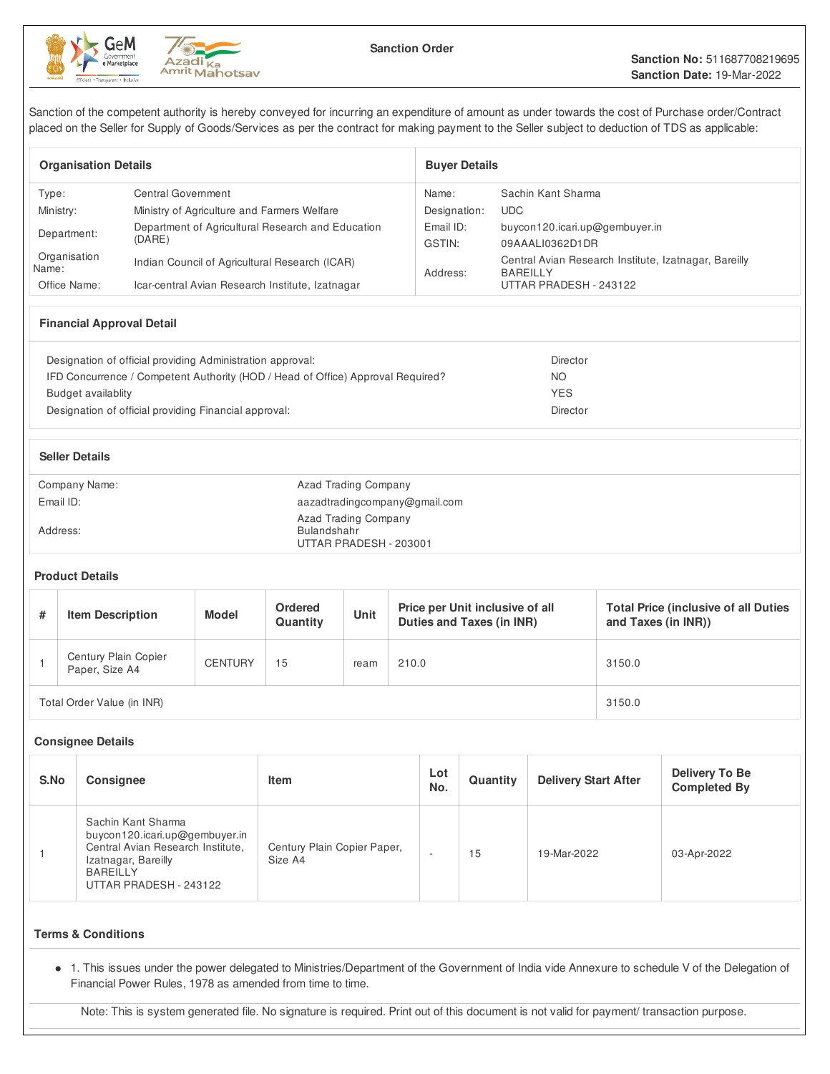



Sanction of the competent authority is hereby conveyed for incurring an expenditure of amount as under towards the cost of Purchase order/Contract placed on the Seller for Supply of Goods/Services as per the contract for making payment to the Seller subject to deduction of TDS as applicable:

| <b>Organisation Details</b> |                                                             | <b>Buver Details</b> |                                                                          |  |
|-----------------------------|-------------------------------------------------------------|----------------------|--------------------------------------------------------------------------|--|
| Type:                       | Central Government                                          | Name:                | Sachin Kant Sharma                                                       |  |
| Ministry:                   | Ministry of Agriculture and Farmers Welfare                 | Designation:         | UDC.                                                                     |  |
| Department:                 | Department of Agricultural Research and Education<br>(DARE) |                      | buycon120.icari.up@gembuyer.in                                           |  |
|                             |                                                             |                      | 09AAALI0362D1DR                                                          |  |
| Organisation<br>Name:       | Indian Council of Agricultural Research (ICAR)              | Address:             | Central Avian Research Institute, Izatnagar, Bareilly<br><b>BAREILLY</b> |  |
| Office Name:                | Icar-central Avian Research Institute, Izatnagar            |                      | UTTAR PRADESH - 243122                                                   |  |

## **Financial Approval Detail**

| Designation of official providing Administration approval:                      | Director   |
|---------------------------------------------------------------------------------|------------|
| IFD Concurrence / Competent Authority (HOD / Head of Office) Approval Required? | NO         |
| Budget availablity                                                              | <b>YES</b> |
| Designation of official providing Financial approval:                           | Director   |
|                                                                                 |            |

| <b>Seller Details</b> |                                                                      |
|-----------------------|----------------------------------------------------------------------|
| Company Name:         | Azad Trading Company                                                 |
| Email ID:             | aazadtradingcompany@gmail.com                                        |
| Address:              | <b>Azad Trading Company</b><br>Bulandshahr<br>UTTAR PRADESH - 203001 |

#### **Product Details**

| #                          | <b>Item Description</b>                | <b>Model</b>   | Ordered<br>Quantity | Unit | Price per Unit inclusive of all<br><b>Duties and Taxes (in INR)</b> | <b>Total Price (inclusive of all Duties)</b><br>and Taxes (in INR)) |
|----------------------------|----------------------------------------|----------------|---------------------|------|---------------------------------------------------------------------|---------------------------------------------------------------------|
|                            | Century Plain Copier<br>Paper, Size A4 | <b>CENTURY</b> | 15                  | ream | 210.0                                                               | 3150.0                                                              |
| Total Order Value (in INR) |                                        |                |                     |      | 3150.0                                                              |                                                                     |

#### **Consignee Details**

| S.No | <b>Consignee</b>                                                                                                                                              | Item                                   | Lot<br>No. | Quantity | <b>Delivery Start After</b> | Delivery To Be<br><b>Completed By</b> |
|------|---------------------------------------------------------------------------------------------------------------------------------------------------------------|----------------------------------------|------------|----------|-----------------------------|---------------------------------------|
|      | Sachin Kant Sharma<br>buycon120.icari.up@gembuyer.in<br>Central Avian Research Institute,<br>Izatnagar, Bareilly<br><b>BAREILLY</b><br>UTTAR PRADESH - 243122 | Century Plain Copier Paper,<br>Size A4 |            | 15       | 19-Mar-2022                 | 03-Apr-2022                           |

#### **Terms & Conditions**

1. This issues under the power delegated to Ministries/Department of the Government of India vide Annexure to schedule V of the Delegation of Financial Power Rules, 1978 as amended from time to time.

Note: This is system generated file. No signature is required. Print out of this document is not valid for payment/ transaction purpose.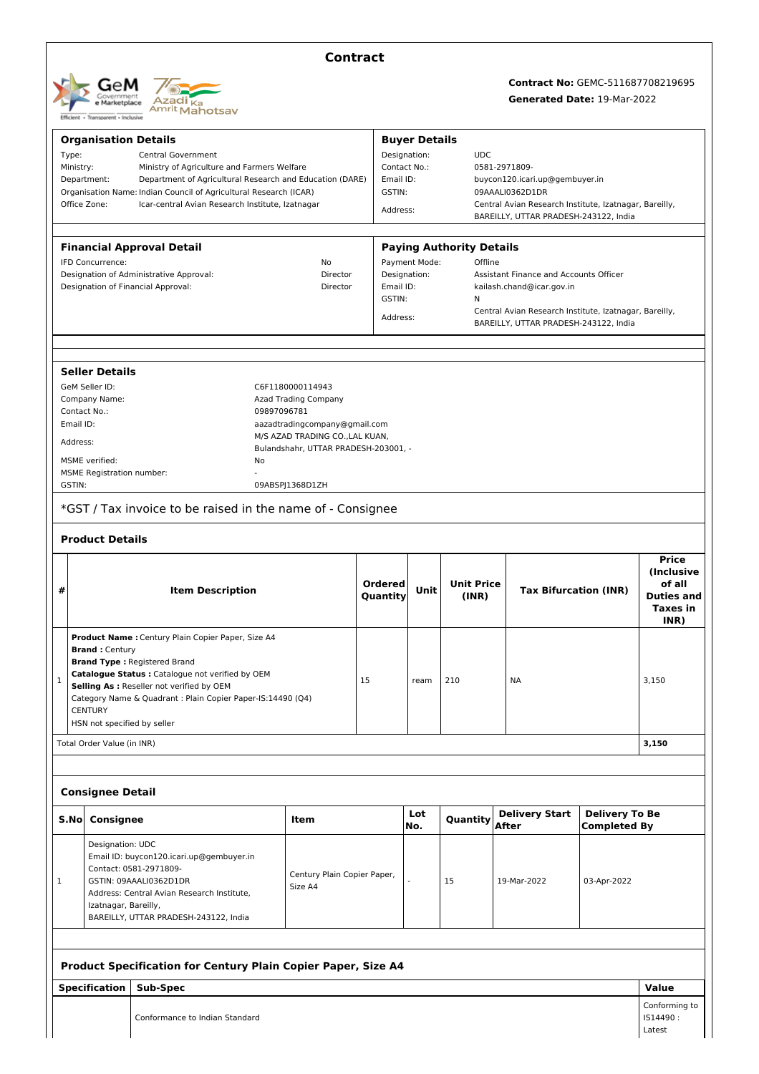

# **Contract**

## **Contract No:** GEMC-511687708219695 **Generated Date:** 19-Mar-2022

| <b>Organisation Details</b>        |                                                                         |                                                                  |           | <b>Buyer Details</b>                        |                                 |                                                        |                                              |                   |  |
|------------------------------------|-------------------------------------------------------------------------|------------------------------------------------------------------|-----------|---------------------------------------------|---------------------------------|--------------------------------------------------------|----------------------------------------------|-------------------|--|
| Type:<br><b>Central Government</b> |                                                                         |                                                                  |           | Designation:                                |                                 | <b>UDC</b>                                             |                                              |                   |  |
|                                    | Ministry:<br>Ministry of Agriculture and Farmers Welfare                |                                                                  |           | Contact No.:                                |                                 | 0581-2971809-                                          |                                              |                   |  |
|                                    | Department:<br>Department of Agricultural Research and Education (DARE) |                                                                  |           | Email ID:<br>buycon120.icari.up@gembuyer.in |                                 |                                                        |                                              |                   |  |
|                                    | Organisation Name: Indian Council of Agricultural Research (ICAR)       |                                                                  |           | GSTIN:                                      |                                 | 09AAALI0362D1DR                                        |                                              |                   |  |
|                                    | Office Zone:<br>Icar-central Avian Research Institute, Izatnagar        |                                                                  |           | Address:                                    |                                 | Central Avian Research Institute, Izatnagar, Bareilly, |                                              |                   |  |
|                                    |                                                                         |                                                                  |           |                                             |                                 | BAREILLY, UTTAR PRADESH-243122, India                  |                                              |                   |  |
|                                    |                                                                         |                                                                  |           |                                             |                                 |                                                        |                                              |                   |  |
|                                    | <b>Financial Approval Detail</b>                                        |                                                                  |           |                                             | <b>Paying Authority Details</b> |                                                        |                                              |                   |  |
|                                    | IFD Concurrence:                                                        | No                                                               |           | Payment Mode:                               | Offline                         |                                                        |                                              |                   |  |
|                                    | Designation of Administrative Approval:                                 | Director                                                         |           | Designation:                                |                                 | Assistant Finance and Accounts Officer                 |                                              |                   |  |
|                                    | Designation of Financial Approval:                                      | Director                                                         | Email ID: |                                             |                                 | kailash.chand@icar.gov.in                              |                                              |                   |  |
|                                    |                                                                         |                                                                  | GSTIN:    |                                             | Ν                               |                                                        |                                              |                   |  |
|                                    |                                                                         |                                                                  | Address:  |                                             |                                 | Central Avian Research Institute, Izatnagar, Bareilly, |                                              |                   |  |
|                                    |                                                                         |                                                                  |           |                                             |                                 | BAREILLY, UTTAR PRADESH-243122, India                  |                                              |                   |  |
|                                    |                                                                         |                                                                  |           |                                             |                                 |                                                        |                                              |                   |  |
|                                    |                                                                         |                                                                  |           |                                             |                                 |                                                        |                                              |                   |  |
|                                    | <b>Seller Details</b>                                                   |                                                                  |           |                                             |                                 |                                                        |                                              |                   |  |
|                                    | GeM Seller ID:                                                          | C6F1180000114943                                                 |           |                                             |                                 |                                                        |                                              |                   |  |
|                                    | Company Name:                                                           | Azad Trading Company                                             |           |                                             |                                 |                                                        |                                              |                   |  |
|                                    | Contact No.:                                                            | 09897096781                                                      |           |                                             |                                 |                                                        |                                              |                   |  |
| Email ID:                          |                                                                         | aazadtradingcompany@gmail.com<br>M/S AZAD TRADING CO., LAL KUAN, |           |                                             |                                 |                                                        |                                              |                   |  |
| Address:                           |                                                                         | Bulandshahr, UTTAR PRADESH-203001, -                             |           |                                             |                                 |                                                        |                                              |                   |  |
|                                    | MSME verified:<br>No                                                    |                                                                  |           |                                             |                                 |                                                        |                                              |                   |  |
|                                    | <b>MSME Registration number:</b>                                        |                                                                  |           |                                             |                                 |                                                        |                                              |                   |  |
| GSTIN:                             |                                                                         | 09ABSPJ1368D1ZH                                                  |           |                                             |                                 |                                                        |                                              |                   |  |
|                                    | *GST / Tax invoice to be raised in the name of - Consignee              |                                                                  |           |                                             |                                 |                                                        |                                              |                   |  |
|                                    |                                                                         |                                                                  |           |                                             |                                 |                                                        |                                              |                   |  |
|                                    | <b>Product Details</b>                                                  |                                                                  |           |                                             |                                 |                                                        |                                              |                   |  |
|                                    |                                                                         |                                                                  |           |                                             |                                 |                                                        |                                              |                   |  |
|                                    |                                                                         |                                                                  |           |                                             |                                 |                                                        |                                              | <b>Price</b>      |  |
|                                    |                                                                         |                                                                  |           |                                             |                                 |                                                        |                                              | (Inclusive        |  |
|                                    |                                                                         |                                                                  | Ordered   |                                             | <b>Unit Price</b>               |                                                        |                                              | of all            |  |
| #                                  | <b>Item Description</b>                                                 |                                                                  | Quantity  | Unit                                        | (INR)                           | <b>Tax Bifurcation (INR)</b>                           |                                              | <b>Duties and</b> |  |
|                                    |                                                                         |                                                                  |           |                                             |                                 |                                                        |                                              | <b>Taxes</b> in   |  |
|                                    |                                                                         |                                                                  |           |                                             |                                 |                                                        |                                              | INR)              |  |
|                                    | Product Name : Century Plain Copier Paper, Size A4                      |                                                                  |           |                                             |                                 |                                                        |                                              |                   |  |
|                                    | <b>Brand: Century</b>                                                   |                                                                  |           |                                             |                                 |                                                        |                                              |                   |  |
|                                    | <b>Brand Type: Registered Brand</b>                                     |                                                                  |           |                                             |                                 |                                                        |                                              |                   |  |
|                                    | Catalogue Status : Catalogue not verified by OEM                        |                                                                  |           |                                             |                                 |                                                        |                                              |                   |  |
| $\mathbf{1}$                       | Selling As : Reseller not verified by OEM                               |                                                                  | 15        | ream                                        | 210                             | <b>NA</b>                                              |                                              | 3,150             |  |
|                                    | Category Name & Quadrant : Plain Copier Paper-IS:14490 (Q4)             |                                                                  |           |                                             |                                 |                                                        |                                              |                   |  |
|                                    | <b>CENTURY</b>                                                          |                                                                  |           |                                             |                                 |                                                        |                                              |                   |  |
|                                    | HSN not specified by seller                                             |                                                                  |           |                                             |                                 |                                                        |                                              |                   |  |
|                                    | Total Order Value (in INR)                                              |                                                                  |           |                                             |                                 |                                                        |                                              | 3,150             |  |
|                                    |                                                                         |                                                                  |           |                                             |                                 |                                                        |                                              |                   |  |
|                                    |                                                                         |                                                                  |           |                                             |                                 |                                                        |                                              |                   |  |
|                                    | <b>Consignee Detail</b>                                                 |                                                                  |           |                                             |                                 |                                                        |                                              |                   |  |
| S.No                               | Consignee                                                               | Item                                                             |           | Lot<br>No.                                  | Quantity                        | <b>Delivery Start</b><br>After                         | <b>Delivery To Be</b><br><b>Completed By</b> |                   |  |
|                                    |                                                                         |                                                                  |           |                                             |                                 |                                                        |                                              |                   |  |
|                                    | Designation: UDC                                                        |                                                                  |           |                                             |                                 |                                                        |                                              |                   |  |
|                                    | Email ID: buycon120.icari.up@gembuyer.in                                |                                                                  |           |                                             |                                 |                                                        |                                              |                   |  |
| 1                                  | Contact: 0581-2971809-                                                  | Century Plain Copier Paper,                                      |           |                                             | 15                              | 19-Mar-2022                                            |                                              |                   |  |
|                                    | GSTIN: 09AAALI0362D1DR                                                  | Size A4                                                          |           |                                             |                                 |                                                        | 03-Apr-2022                                  |                   |  |
|                                    | Address: Central Avian Research Institute,                              |                                                                  |           |                                             |                                 |                                                        |                                              |                   |  |
|                                    | Izatnagar, Bareilly,<br>BAREILLY, UTTAR PRADESH-243122, India           |                                                                  |           |                                             |                                 |                                                        |                                              |                   |  |

### **Product Specification for Century Plain Copier Paper, Size A4**

**Specification Sub-Spec Value**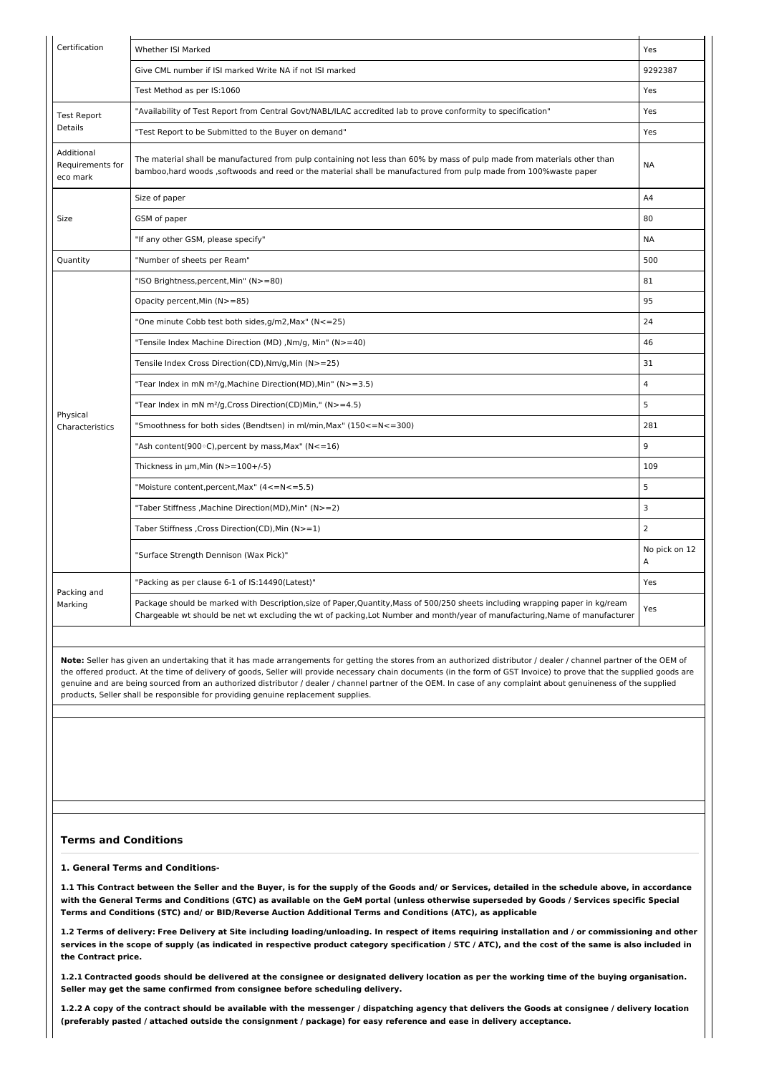| Certification<br>Whether ISI Marked<br>Yes<br>9292387<br>Give CML number if ISI marked Write NA if not ISI marked<br>Test Method as per IS:1060<br>Yes<br>Yes<br>"Availability of Test Report from Central Govt/NABL/ILAC accredited lab to prove conformity to specification"<br>"Test Report to be Submitted to the Buyer on demand"<br>Yes<br>The material shall be manufactured from pulp containing not less than 60% by mass of pulp made from materials other than<br><b>NA</b><br>bamboo, hard woods , softwoods and reed or the material shall be manufactured from pulp made from 100% waste paper<br>A4<br>Size of paper<br>80<br>GSM of paper<br><b>NA</b><br>"If any other GSM, please specify"<br>500<br>"Number of sheets per Ream"<br>81<br>"ISO Brightness,percent,Min" (N>=80)<br>Opacity percent, Min (N>=85)<br>95<br>24<br>"One minute Cobb test both sides, g/m2, Max" (N<=25)<br>"Tensile Index Machine Direction (MD), Nm/g, Min" (N>=40)<br>46<br>31<br>Tensile Index Cross Direction(CD), Nm/g, Min (N>=25)<br>$\overline{4}$<br>"Tear Index in mN m <sup>2</sup> /g, Machine Direction(MD), Min" (N>=3.5)<br>5<br>"Tear Index in mN m <sup>2</sup> /g, Cross Direction(CD)Min," (N>=4.5)<br>Physical<br>281<br>"Smoothness for both sides (Bendtsen) in ml/min, Max" (150<=N<=300)<br>9<br>"Ash content(900 $\circ$ C), percent by mass, Max" (N<=16)<br>109<br>Thickness in $\mu$ m, Min (N>=100+/-5)<br>5<br>"Moisture content, percent, Max" (4<=N<=5.5)<br>$\overline{3}$<br>"Taber Stiffness , Machine Direction(MD), Min" (N>=2)<br>$\overline{2}$<br>Taber Stiffness , Cross Direction(CD), Min (N>=1)<br>No pick on 12<br>"Surface Strength Dennison (Wax Pick)"<br>A<br>"Packing as per clause 6-1 of IS:14490(Latest)"<br>Yes<br>Packing and<br>Package should be marked with Description, size of Paper, Quantity, Mass of 500/250 sheets including wrapping paper in kg/ream<br>Yes<br>Chargeable wt should be net wt excluding the wt of packing, Lot Number and month/year of manufacturing, Name of manufacturer |                                            |  |
|------------------------------------------------------------------------------------------------------------------------------------------------------------------------------------------------------------------------------------------------------------------------------------------------------------------------------------------------------------------------------------------------------------------------------------------------------------------------------------------------------------------------------------------------------------------------------------------------------------------------------------------------------------------------------------------------------------------------------------------------------------------------------------------------------------------------------------------------------------------------------------------------------------------------------------------------------------------------------------------------------------------------------------------------------------------------------------------------------------------------------------------------------------------------------------------------------------------------------------------------------------------------------------------------------------------------------------------------------------------------------------------------------------------------------------------------------------------------------------------------------------------------------------------------------------------------------------------------------------------------------------------------------------------------------------------------------------------------------------------------------------------------------------------------------------------------------------------------------------------------------------------------------------------------------------------------------------------------------------------------------------------------------------------------------------|--------------------------------------------|--|
|                                                                                                                                                                                                                                                                                                                                                                                                                                                                                                                                                                                                                                                                                                                                                                                                                                                                                                                                                                                                                                                                                                                                                                                                                                                                                                                                                                                                                                                                                                                                                                                                                                                                                                                                                                                                                                                                                                                                                                                                                                                            |                                            |  |
|                                                                                                                                                                                                                                                                                                                                                                                                                                                                                                                                                                                                                                                                                                                                                                                                                                                                                                                                                                                                                                                                                                                                                                                                                                                                                                                                                                                                                                                                                                                                                                                                                                                                                                                                                                                                                                                                                                                                                                                                                                                            |                                            |  |
|                                                                                                                                                                                                                                                                                                                                                                                                                                                                                                                                                                                                                                                                                                                                                                                                                                                                                                                                                                                                                                                                                                                                                                                                                                                                                                                                                                                                                                                                                                                                                                                                                                                                                                                                                                                                                                                                                                                                                                                                                                                            |                                            |  |
|                                                                                                                                                                                                                                                                                                                                                                                                                                                                                                                                                                                                                                                                                                                                                                                                                                                                                                                                                                                                                                                                                                                                                                                                                                                                                                                                                                                                                                                                                                                                                                                                                                                                                                                                                                                                                                                                                                                                                                                                                                                            | <b>Test Report</b>                         |  |
|                                                                                                                                                                                                                                                                                                                                                                                                                                                                                                                                                                                                                                                                                                                                                                                                                                                                                                                                                                                                                                                                                                                                                                                                                                                                                                                                                                                                                                                                                                                                                                                                                                                                                                                                                                                                                                                                                                                                                                                                                                                            | Details                                    |  |
|                                                                                                                                                                                                                                                                                                                                                                                                                                                                                                                                                                                                                                                                                                                                                                                                                                                                                                                                                                                                                                                                                                                                                                                                                                                                                                                                                                                                                                                                                                                                                                                                                                                                                                                                                                                                                                                                                                                                                                                                                                                            | Additional<br>Requirements for<br>eco mark |  |
|                                                                                                                                                                                                                                                                                                                                                                                                                                                                                                                                                                                                                                                                                                                                                                                                                                                                                                                                                                                                                                                                                                                                                                                                                                                                                                                                                                                                                                                                                                                                                                                                                                                                                                                                                                                                                                                                                                                                                                                                                                                            |                                            |  |
|                                                                                                                                                                                                                                                                                                                                                                                                                                                                                                                                                                                                                                                                                                                                                                                                                                                                                                                                                                                                                                                                                                                                                                                                                                                                                                                                                                                                                                                                                                                                                                                                                                                                                                                                                                                                                                                                                                                                                                                                                                                            | Size                                       |  |
|                                                                                                                                                                                                                                                                                                                                                                                                                                                                                                                                                                                                                                                                                                                                                                                                                                                                                                                                                                                                                                                                                                                                                                                                                                                                                                                                                                                                                                                                                                                                                                                                                                                                                                                                                                                                                                                                                                                                                                                                                                                            |                                            |  |
|                                                                                                                                                                                                                                                                                                                                                                                                                                                                                                                                                                                                                                                                                                                                                                                                                                                                                                                                                                                                                                                                                                                                                                                                                                                                                                                                                                                                                                                                                                                                                                                                                                                                                                                                                                                                                                                                                                                                                                                                                                                            | Quantity                                   |  |
|                                                                                                                                                                                                                                                                                                                                                                                                                                                                                                                                                                                                                                                                                                                                                                                                                                                                                                                                                                                                                                                                                                                                                                                                                                                                                                                                                                                                                                                                                                                                                                                                                                                                                                                                                                                                                                                                                                                                                                                                                                                            |                                            |  |
|                                                                                                                                                                                                                                                                                                                                                                                                                                                                                                                                                                                                                                                                                                                                                                                                                                                                                                                                                                                                                                                                                                                                                                                                                                                                                                                                                                                                                                                                                                                                                                                                                                                                                                                                                                                                                                                                                                                                                                                                                                                            |                                            |  |
|                                                                                                                                                                                                                                                                                                                                                                                                                                                                                                                                                                                                                                                                                                                                                                                                                                                                                                                                                                                                                                                                                                                                                                                                                                                                                                                                                                                                                                                                                                                                                                                                                                                                                                                                                                                                                                                                                                                                                                                                                                                            |                                            |  |
|                                                                                                                                                                                                                                                                                                                                                                                                                                                                                                                                                                                                                                                                                                                                                                                                                                                                                                                                                                                                                                                                                                                                                                                                                                                                                                                                                                                                                                                                                                                                                                                                                                                                                                                                                                                                                                                                                                                                                                                                                                                            |                                            |  |
|                                                                                                                                                                                                                                                                                                                                                                                                                                                                                                                                                                                                                                                                                                                                                                                                                                                                                                                                                                                                                                                                                                                                                                                                                                                                                                                                                                                                                                                                                                                                                                                                                                                                                                                                                                                                                                                                                                                                                                                                                                                            |                                            |  |
|                                                                                                                                                                                                                                                                                                                                                                                                                                                                                                                                                                                                                                                                                                                                                                                                                                                                                                                                                                                                                                                                                                                                                                                                                                                                                                                                                                                                                                                                                                                                                                                                                                                                                                                                                                                                                                                                                                                                                                                                                                                            |                                            |  |
|                                                                                                                                                                                                                                                                                                                                                                                                                                                                                                                                                                                                                                                                                                                                                                                                                                                                                                                                                                                                                                                                                                                                                                                                                                                                                                                                                                                                                                                                                                                                                                                                                                                                                                                                                                                                                                                                                                                                                                                                                                                            |                                            |  |
|                                                                                                                                                                                                                                                                                                                                                                                                                                                                                                                                                                                                                                                                                                                                                                                                                                                                                                                                                                                                                                                                                                                                                                                                                                                                                                                                                                                                                                                                                                                                                                                                                                                                                                                                                                                                                                                                                                                                                                                                                                                            | Characteristics                            |  |
|                                                                                                                                                                                                                                                                                                                                                                                                                                                                                                                                                                                                                                                                                                                                                                                                                                                                                                                                                                                                                                                                                                                                                                                                                                                                                                                                                                                                                                                                                                                                                                                                                                                                                                                                                                                                                                                                                                                                                                                                                                                            |                                            |  |
|                                                                                                                                                                                                                                                                                                                                                                                                                                                                                                                                                                                                                                                                                                                                                                                                                                                                                                                                                                                                                                                                                                                                                                                                                                                                                                                                                                                                                                                                                                                                                                                                                                                                                                                                                                                                                                                                                                                                                                                                                                                            |                                            |  |
|                                                                                                                                                                                                                                                                                                                                                                                                                                                                                                                                                                                                                                                                                                                                                                                                                                                                                                                                                                                                                                                                                                                                                                                                                                                                                                                                                                                                                                                                                                                                                                                                                                                                                                                                                                                                                                                                                                                                                                                                                                                            |                                            |  |
|                                                                                                                                                                                                                                                                                                                                                                                                                                                                                                                                                                                                                                                                                                                                                                                                                                                                                                                                                                                                                                                                                                                                                                                                                                                                                                                                                                                                                                                                                                                                                                                                                                                                                                                                                                                                                                                                                                                                                                                                                                                            |                                            |  |
|                                                                                                                                                                                                                                                                                                                                                                                                                                                                                                                                                                                                                                                                                                                                                                                                                                                                                                                                                                                                                                                                                                                                                                                                                                                                                                                                                                                                                                                                                                                                                                                                                                                                                                                                                                                                                                                                                                                                                                                                                                                            |                                            |  |
|                                                                                                                                                                                                                                                                                                                                                                                                                                                                                                                                                                                                                                                                                                                                                                                                                                                                                                                                                                                                                                                                                                                                                                                                                                                                                                                                                                                                                                                                                                                                                                                                                                                                                                                                                                                                                                                                                                                                                                                                                                                            |                                            |  |
|                                                                                                                                                                                                                                                                                                                                                                                                                                                                                                                                                                                                                                                                                                                                                                                                                                                                                                                                                                                                                                                                                                                                                                                                                                                                                                                                                                                                                                                                                                                                                                                                                                                                                                                                                                                                                                                                                                                                                                                                                                                            |                                            |  |
|                                                                                                                                                                                                                                                                                                                                                                                                                                                                                                                                                                                                                                                                                                                                                                                                                                                                                                                                                                                                                                                                                                                                                                                                                                                                                                                                                                                                                                                                                                                                                                                                                                                                                                                                                                                                                                                                                                                                                                                                                                                            | Marking                                    |  |

### **Terms and Conditions**

**1. General Terms and Conditions-**

1.1 This Contract between the Seller and the Buyer, is for the supply of the Goods and/ or Services, detailed in the schedule above, in accordance with the General Terms and Conditions (GTC) as available on the GeM portal (unless otherwise superseded by Goods / Services specific Special **Terms and Conditions (STC) and/ or BID/Reverse Auction Additional Terms and Conditions (ATC), as applicable**

1.2 Terms of delivery: Free Delivery at Site including loading/unloading. In respect of items requiring installation and / or commissioning and other services in the scope of supply (as indicated in respective product category specification / STC / ATC), and the cost of the same is also included in **the Contract price.**

1.2.1 Contracted goods should be delivered at the consignee or designated delivery location as per the working time of the buying organisation. **Seller may get the same confirmed from consignee before scheduling delivery.**

1.2.2 A copy of the contract should be available with the messenger / dispatching agency that delivers the Goods at consignee / delivery location (preferably pasted / attached outside the consignment / package) for easy reference and ease in delivery acceptance.